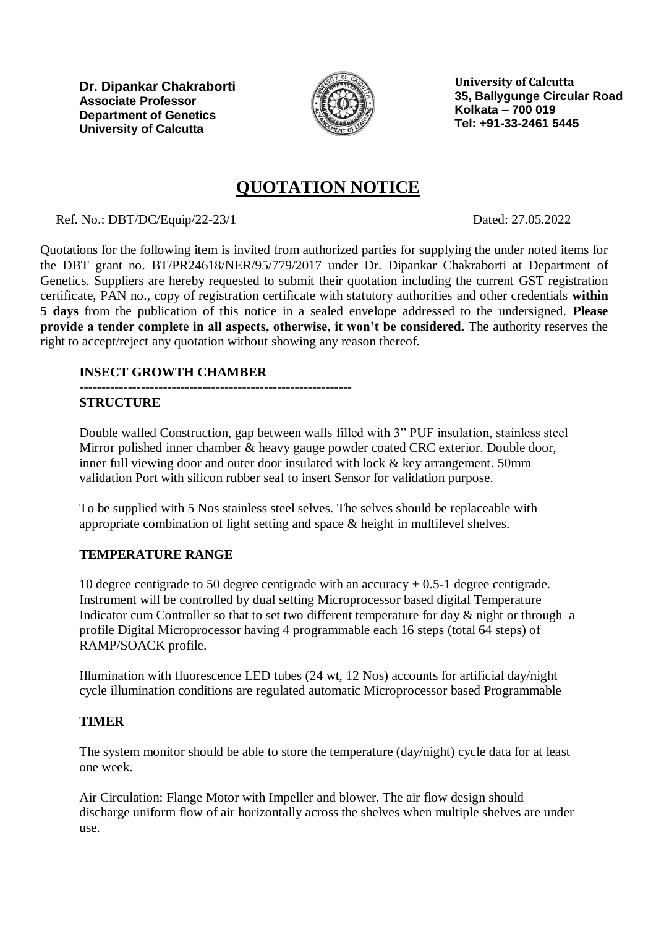

**University of Calcutta 35, Ballygunge Circular Road Kolkata – 700 019 Tel: +91-33-2461 5445**

# **QUOTATION NOTICE**

Ref. No.: DBT/DC/Equip/22-23/1 Dated: 27.05.2022

Quotations for the following item is invited from authorized parties for supplying the under noted items for the DBT grant no. BT/PR24618/NER/95/779/2017 under Dr. Dipankar Chakraborti at Department of Genetics. Suppliers are hereby requested to submit their quotation including the current GST registration certificate, PAN no., copy of registration certificate with statutory authorities and other credentials **within 5 days** from the publication of this notice in a sealed envelope addressed to the undersigned. **Please provide a tender complete in all aspects, otherwise, it won't be considered.** The authority reserves the right to accept/reject any quotation without showing any reason thereof.

## **INSECT GROWTH CHAMBER**

### --------------------------------------------------------------

### **STRUCTURE**

Double walled Construction, gap between walls filled with 3" PUF insulation, stainless steel Mirror polished inner chamber & heavy gauge powder coated CRC exterior. Double door, inner full viewing door and outer door insulated with lock & key arrangement. 50mm validation Port with silicon rubber seal to insert Sensor for validation purpose.

To be supplied with 5 Nos stainless steel selves. The selves should be replaceable with appropriate combination of light setting and space & height in multilevel shelves.

### **TEMPERATURE RANGE**

10 degree centigrade to 50 degree centigrade with an accuracy  $\pm$  0.5-1 degree centigrade. Instrument will be controlled by dual setting Microprocessor based digital Temperature Indicator cum Controller so that to set two different temperature for day & night or through a profile Digital Microprocessor having 4 programmable each 16 steps (total 64 steps) of RAMP/SOACK profile.

Illumination with fluorescence LED tubes (24 wt, 12 Nos) accounts for artificial day/night cycle illumination conditions are regulated automatic Microprocessor based Programmable

### **TIMER**

The system monitor should be able to store the temperature (day/night) cycle data for at least one week.

Air Circulation: Flange Motor with Impeller and blower. The air flow design should discharge uniform flow of air horizontally across the shelves when multiple shelves are under use.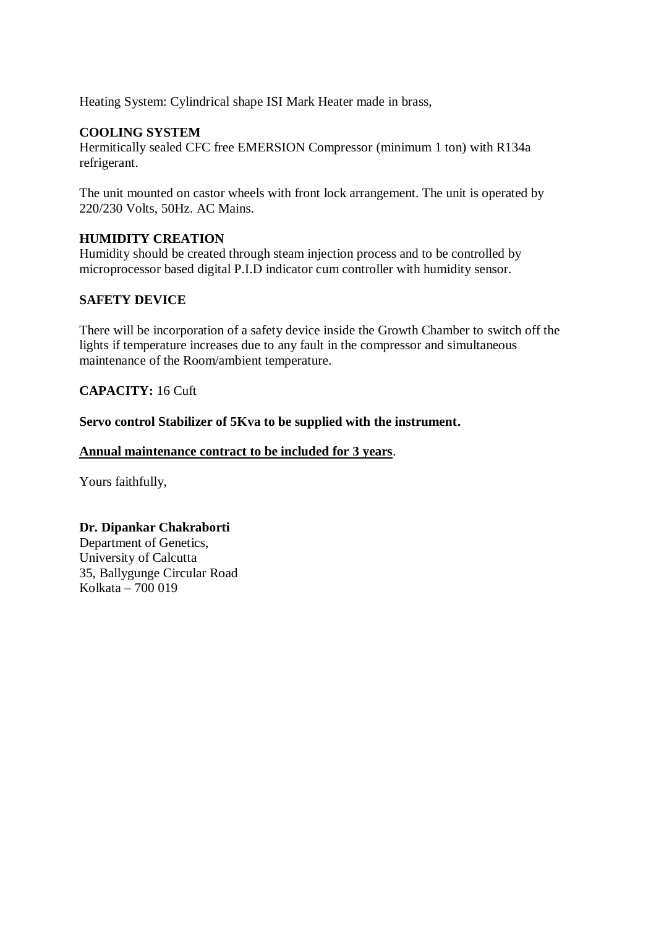Heating System: Cylindrical shape ISI Mark Heater made in brass,

### **COOLING SYSTEM**

Hermitically sealed CFC free EMERSION Compressor (minimum 1 ton) with R134a refrigerant.

The unit mounted on castor wheels with front lock arrangement. The unit is operated by 220/230 Volts, 50Hz. AC Mains.

### **HUMIDITY CREATION**

Humidity should be created through steam injection process and to be controlled by microprocessor based digital P.I.D indicator cum controller with humidity sensor.

### **SAFETY DEVICE**

There will be incorporation of a safety device inside the Growth Chamber to switch off the lights if temperature increases due to any fault in the compressor and simultaneous maintenance of the Room/ambient temperature.

### **CAPACITY:** 16 Cuft

**Servo control Stabilizer of 5Kva to be supplied with the instrument.**

#### **Annual maintenance contract to be included for 3 years**.

Yours faithfully,

### **Dr. Dipankar Chakraborti**

Department of Genetics, University of Calcutta 35, Ballygunge Circular Road Kolkata – 700 019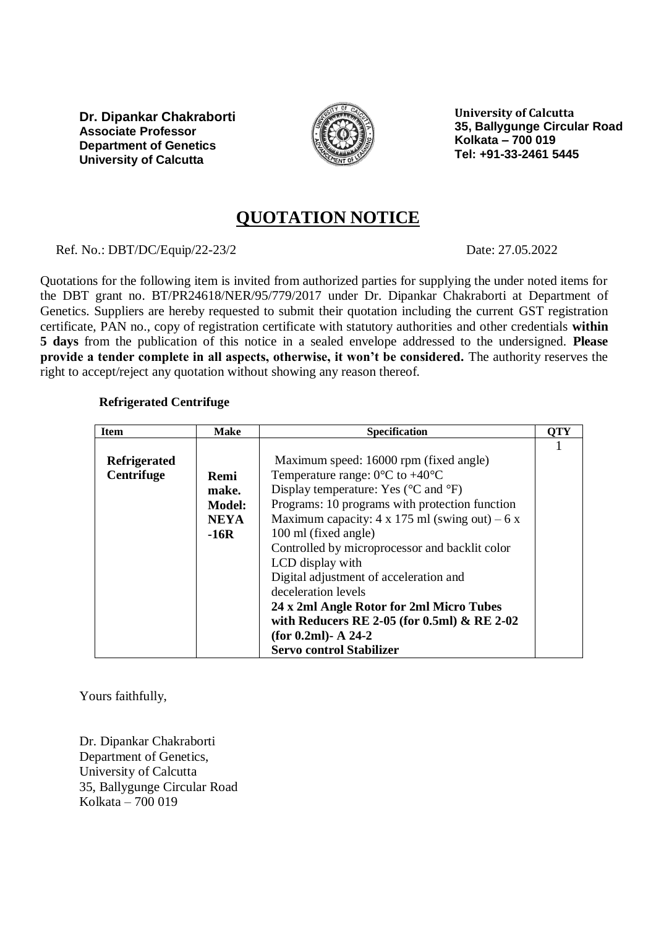

**University of Calcutta 35, Ballygunge Circular Road Kolkata – 700 019 Tel: +91-33-2461 5445**

## **QUOTATION NOTICE**

Ref. No.: DBT/DC/Equip/22-23/2 Date: 27.05.2022

Quotations for the following item is invited from authorized parties for supplying the under noted items for the DBT grant no. BT/PR24618/NER/95/779/2017 under Dr. Dipankar Chakraborti at Department of Genetics. Suppliers are hereby requested to submit their quotation including the current GST registration certificate, PAN no., copy of registration certificate with statutory authorities and other credentials **within 5 days** from the publication of this notice in a sealed envelope addressed to the undersigned. **Please provide a tender complete in all aspects, otherwise, it won't be considered.** The authority reserves the right to accept/reject any quotation without showing any reason thereof.

## **Refrigerated Centrifuge**

| <b>Item</b>                              | <b>Make</b>                                             | <b>Specification</b>                                                                                                                                                                                                                                                                                                                                                                                                                                                                                                           | OTY |
|------------------------------------------|---------------------------------------------------------|--------------------------------------------------------------------------------------------------------------------------------------------------------------------------------------------------------------------------------------------------------------------------------------------------------------------------------------------------------------------------------------------------------------------------------------------------------------------------------------------------------------------------------|-----|
| <b>Refrigerated</b><br><b>Centrifuge</b> | Remi<br>make.<br><b>Model:</b><br><b>NEYA</b><br>$-16R$ | Maximum speed: 16000 rpm (fixed angle)<br>Temperature range: $0^{\circ}$ C to +40 $^{\circ}$ C<br>Display temperature: Yes ( $\rm{°C}$ and $\rm{°F}$ )<br>Programs: 10 programs with protection function<br>Maximum capacity: $4 \times 175$ ml (swing out) – 6 x<br>100 ml (fixed angle)<br>Controlled by microprocessor and backlit color<br>LCD display with<br>Digital adjustment of acceleration and<br>deceleration levels<br>24 x 2ml Angle Rotor for 2ml Micro Tubes<br>with Reducers RE 2-05 (for 0.5ml) $\&$ RE 2-02 |     |
|                                          |                                                         | (for $0.2ml$ )- A 24-2<br><b>Servo control Stabilizer</b>                                                                                                                                                                                                                                                                                                                                                                                                                                                                      |     |

Yours faithfully,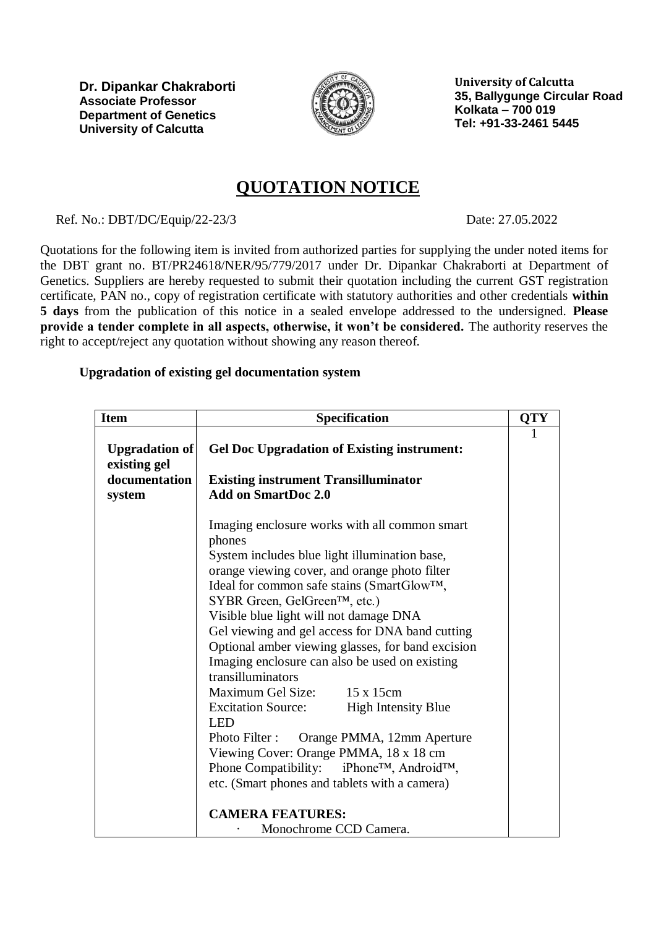

**University of Calcutta 35, Ballygunge Circular Road Kolkata – 700 019 Tel: +91-33-2461 5445**

# **QUOTATION NOTICE**

Ref. No.: DBT/DC/Equip/22-23/3 Date: 27.05.2022

Quotations for the following item is invited from authorized parties for supplying the under noted items for the DBT grant no. BT/PR24618/NER/95/779/2017 under Dr. Dipankar Chakraborti at Department of Genetics. Suppliers are hereby requested to submit their quotation including the current GST registration certificate, PAN no., copy of registration certificate with statutory authorities and other credentials **within 5 days** from the publication of this notice in a sealed envelope addressed to the undersigned. **Please provide a tender complete in all aspects, otherwise, it won't be considered.** The authority reserves the right to accept/reject any quotation without showing any reason thereof.

## **Upgradation of existing gel documentation system**

| <b>Item</b>                    | <b>Specification</b>                                                                                                                                                                                                                                                                                                                                                                                                                                                                                                                                                                                                                                                                                                                                                    | <b>QTY</b> |
|--------------------------------|-------------------------------------------------------------------------------------------------------------------------------------------------------------------------------------------------------------------------------------------------------------------------------------------------------------------------------------------------------------------------------------------------------------------------------------------------------------------------------------------------------------------------------------------------------------------------------------------------------------------------------------------------------------------------------------------------------------------------------------------------------------------------|------------|
| Upgradation of<br>existing gel | <b>Gel Doc Upgradation of Existing instrument:</b>                                                                                                                                                                                                                                                                                                                                                                                                                                                                                                                                                                                                                                                                                                                      | 1          |
| documentation<br>system        | <b>Existing instrument Transilluminator</b><br><b>Add on SmartDoc 2.0</b>                                                                                                                                                                                                                                                                                                                                                                                                                                                                                                                                                                                                                                                                                               |            |
|                                | Imaging enclosure works with all common smart<br>phones<br>System includes blue light illumination base,<br>orange viewing cover, and orange photo filter<br>Ideal for common safe stains (SmartGlow™,<br>SYBR Green, GelGreen™, etc.)<br>Visible blue light will not damage DNA<br>Gel viewing and gel access for DNA band cutting<br>Optional amber viewing glasses, for band excision<br>Imaging enclosure can also be used on existing<br>transilluminators<br>Maximum Gel Size: 15 x 15cm<br>Excitation Source: High Intensity Blue<br><b>LED</b><br>Orange PMMA, 12mm Aperture<br>Photo Filter :<br>Viewing Cover: Orange PMMA, 18 x 18 cm<br>Phone Compatibility: iPhone™, Android™,<br>etc. (Smart phones and tablets with a camera)<br><b>CAMERA FEATURES:</b> |            |
|                                | Monochrome CCD Camera.                                                                                                                                                                                                                                                                                                                                                                                                                                                                                                                                                                                                                                                                                                                                                  |            |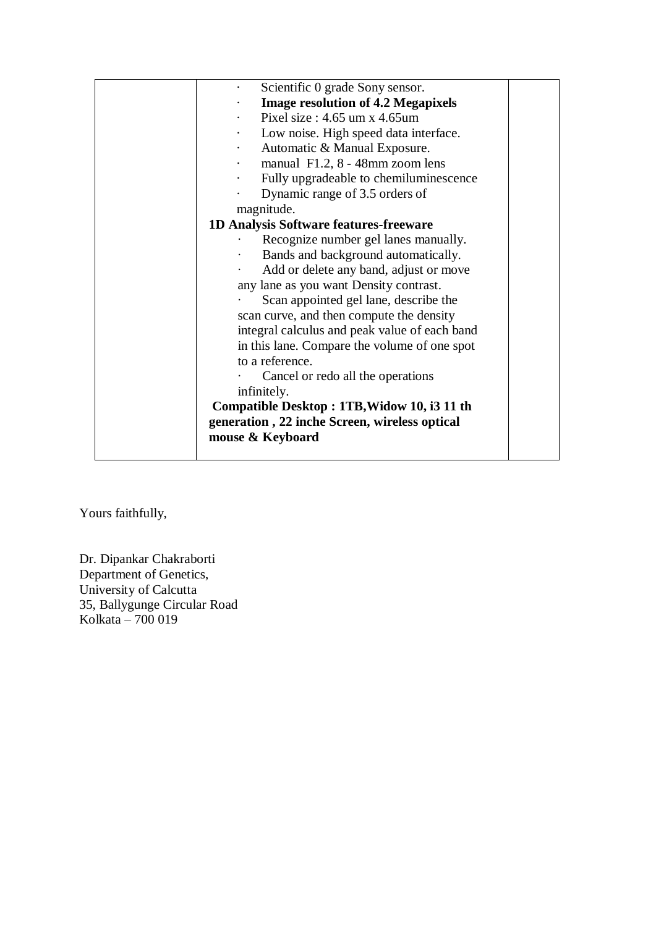| Scientific 0 grade Sony sensor.                      |  |
|------------------------------------------------------|--|
| <b>Image resolution of 4.2 Megapixels</b>            |  |
| Pixel size: $4.65$ um x $4.65$ um                    |  |
| Low noise. High speed data interface.<br>$\bullet$   |  |
| Automatic & Manual Exposure.<br>$\ddot{\phantom{0}}$ |  |
| manual F1.2, 8 - 48mm zoom lens<br>$\bullet$         |  |
| Fully upgradeable to chemiluminescence<br>$\bullet$  |  |
| Dynamic range of 3.5 orders of                       |  |
| magnitude.                                           |  |
| 1D Analysis Software features-freeware               |  |
| Recognize number gel lanes manually.                 |  |
| Bands and background automatically.                  |  |
| Add or delete any band, adjust or move               |  |
| any lane as you want Density contrast.               |  |
| Scan appointed gel lane, describe the                |  |
| scan curve, and then compute the density             |  |
| integral calculus and peak value of each band        |  |
| in this lane. Compare the volume of one spot         |  |
| to a reference.                                      |  |
| Cancel or redo all the operations                    |  |
| infinitely.                                          |  |
| Compatible Desktop: 1TB, Widow 10, i3 11 th          |  |
| generation, 22 inche Screen, wireless optical        |  |
| mouse & Keyboard                                     |  |
|                                                      |  |

Yours faithfully,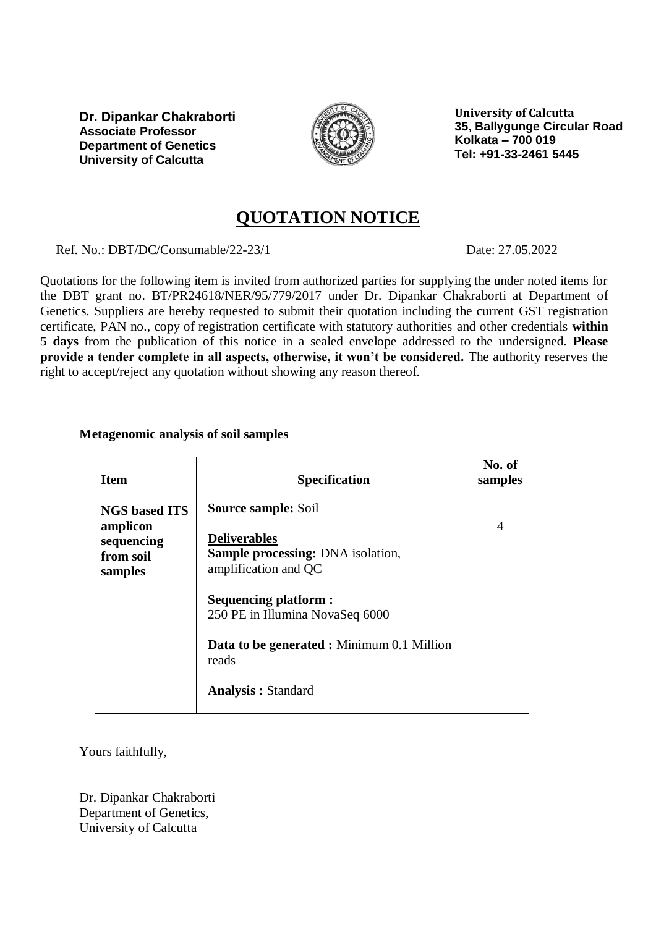

**University of Calcutta 35, Ballygunge Circular Road Kolkata – 700 019 Tel: +91-33-2461 5445**

# **QUOTATION NOTICE**

Ref. No.: DBT/DC/Consumable/22-23/1 Date: 27.05.2022

Quotations for the following item is invited from authorized parties for supplying the under noted items for the DBT grant no. BT/PR24618/NER/95/779/2017 under Dr. Dipankar Chakraborti at Department of Genetics. Suppliers are hereby requested to submit their quotation including the current GST registration certificate, PAN no., copy of registration certificate with statutory authorities and other credentials **within 5 days** from the publication of this notice in a sealed envelope addressed to the undersigned. **Please provide a tender complete in all aspects, otherwise, it won't be considered.** The authority reserves the right to accept/reject any quotation without showing any reason thereof.

## **Metagenomic analysis of soil samples**

|                                                |                                                                                         | No. of  |
|------------------------------------------------|-----------------------------------------------------------------------------------------|---------|
| <b>Item</b>                                    | <b>Specification</b>                                                                    | samples |
| <b>NGS based ITS</b>                           | <b>Source sample: Soil</b>                                                              |         |
| amplicon<br>sequencing<br>from soil<br>samples | <b>Deliverables</b><br><b>Sample processing: DNA</b> isolation,<br>amplification and QC | 4       |
|                                                | <b>Sequencing platform:</b><br>250 PE in Illumina NovaSeq 6000                          |         |
|                                                | <b>Data to be generated : Minimum 0.1 Million</b><br>reads                              |         |
|                                                | <b>Analysis: Standard</b>                                                               |         |

Yours faithfully,

Dr. Dipankar Chakraborti Department of Genetics, University of Calcutta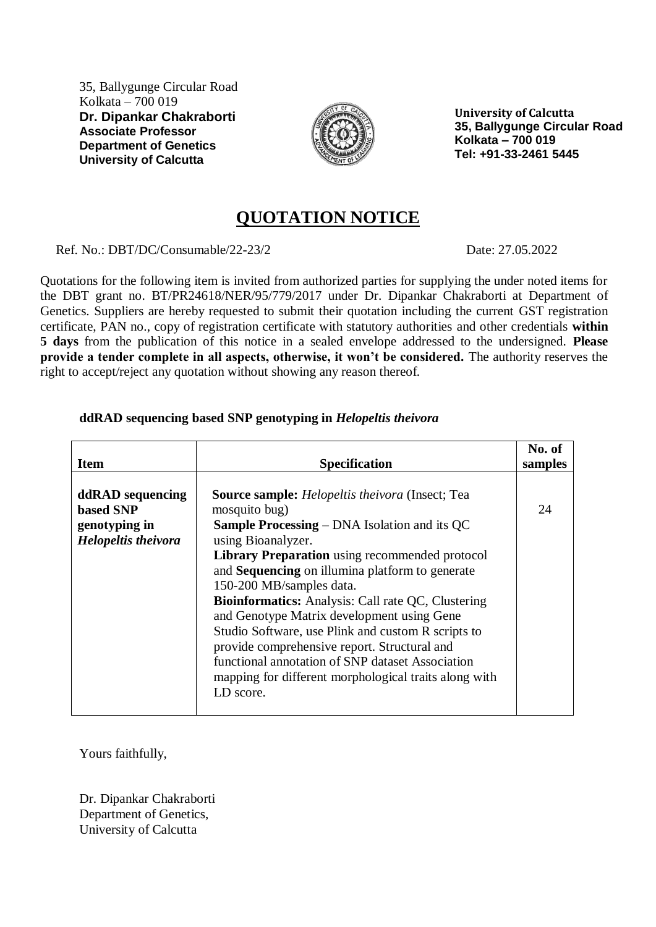35, Ballygunge Circular Road Kolkata – 700 019 **Dr. Dipankar Chakraborti Associate Professor Department of Genetics University of Calcutta**



**University of Calcutta 35, Ballygunge Circular Road Kolkata – 700 019 Tel: +91-33-2461 5445**

## **QUOTATION NOTICE**

Ref. No.: DBT/DC/Consumable/22-23/2 Date: 27.05.2022

Quotations for the following item is invited from authorized parties for supplying the under noted items for the DBT grant no. BT/PR24618/NER/95/779/2017 under Dr. Dipankar Chakraborti at Department of Genetics. Suppliers are hereby requested to submit their quotation including the current GST registration certificate, PAN no., copy of registration certificate with statutory authorities and other credentials **within 5 days** from the publication of this notice in a sealed envelope addressed to the undersigned. **Please provide a tender complete in all aspects, otherwise, it won't be considered.** The authority reserves the right to accept/reject any quotation without showing any reason thereof.

## **ddRAD sequencing based SNP genotyping in** *Helopeltis theivora*

| <b>Item</b>                                                                         | <b>Specification</b>                                                                                                                                                                                                                                                                                                                                                                                                                                                                                                                                                                                                                                  | No. of<br>samples |
|-------------------------------------------------------------------------------------|-------------------------------------------------------------------------------------------------------------------------------------------------------------------------------------------------------------------------------------------------------------------------------------------------------------------------------------------------------------------------------------------------------------------------------------------------------------------------------------------------------------------------------------------------------------------------------------------------------------------------------------------------------|-------------------|
| ddRAD sequencing<br><b>based SNP</b><br>genotyping in<br><b>Helopeltis theivora</b> | <b>Source sample:</b> <i>Helopeltis theivora</i> (Insect; Tea<br>mosquito bug)<br><b>Sample Processing – DNA Isolation and its QC</b><br>using Bioanalyzer.<br><b>Library Preparation</b> using recommended protocol<br>and <b>Sequencing</b> on illumina platform to generate<br>150-200 MB/samples data.<br><b>Bioinformatics:</b> Analysis: Call rate QC, Clustering<br>and Genotype Matrix development using Gene<br>Studio Software, use Plink and custom R scripts to<br>provide comprehensive report. Structural and<br>functional annotation of SNP dataset Association<br>mapping for different morphological traits along with<br>LD score. | 24                |

Yours faithfully,

Dr. Dipankar Chakraborti Department of Genetics, University of Calcutta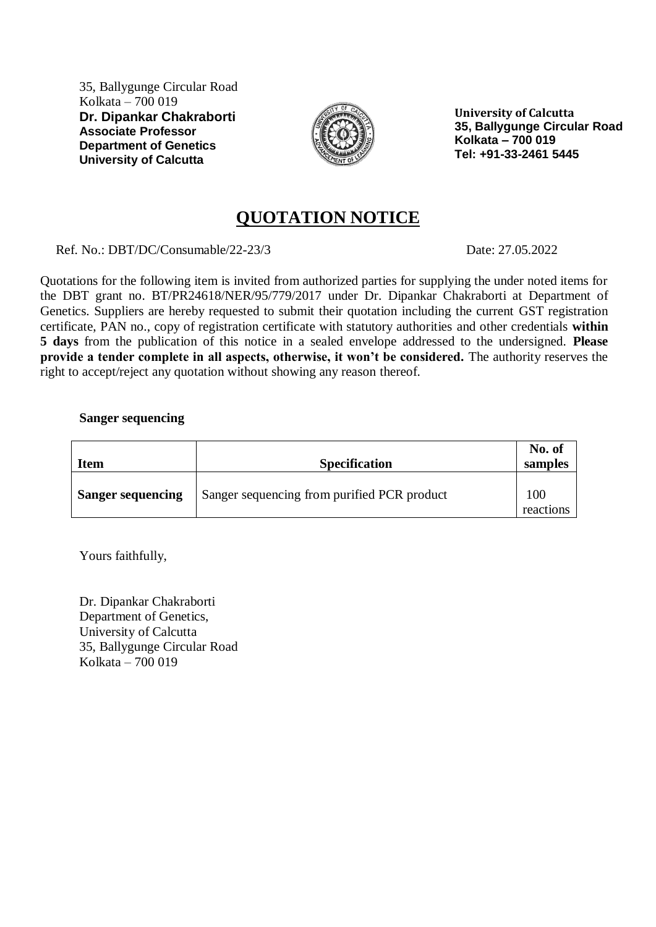35, Ballygunge Circular Road Kolkata – 700 019 **Dr. Dipankar Chakraborti Associate Professor Department of Genetics University of Calcutta**



**University of Calcutta 35, Ballygunge Circular Road Kolkata – 700 019 Tel: +91-33-2461 5445**

# **QUOTATION NOTICE**

Ref. No.: DBT/DC/Consumable/22-23/3 Date: 27.05.2022

Quotations for the following item is invited from authorized parties for supplying the under noted items for the DBT grant no. BT/PR24618/NER/95/779/2017 under Dr. Dipankar Chakraborti at Department of Genetics. Suppliers are hereby requested to submit their quotation including the current GST registration certificate, PAN no., copy of registration certificate with statutory authorities and other credentials **within 5 days** from the publication of this notice in a sealed envelope addressed to the undersigned. **Please provide a tender complete in all aspects, otherwise, it won't be considered.** The authority reserves the right to accept/reject any quotation without showing any reason thereof.

### **Sanger sequencing**

| <b>Item</b>              | <b>Specification</b>                        | No. of<br>samples |
|--------------------------|---------------------------------------------|-------------------|
| <b>Sanger sequencing</b> | Sanger sequencing from purified PCR product | 100<br>reactions  |

Yours faithfully,